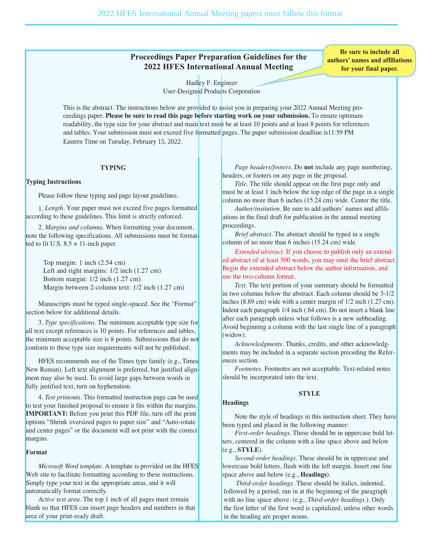# **Proceedings Paper Preparation Guidelines for the 2022 HFES International Annual Meeting**

**Be sure to include all authors' names and affiliations for your final paper.**

Hadley F. Engineer User-Designed Products Corporation

This is the abstract. The instructions below are provided to assist you in preparing your 2022 Annual Meeting proceedings paper. **Please be sure to read this page before starting work on your submission.** To ensure optimum readability, the type size for your abstract and main text must be at least 10 points and at least 8 points for references and tables. Your submission must not exceed five formatted pages. The paper submission deadline is11:59 PM Eastern Time on Tuesday, February 15, 2022.

## **TYPING**

## **Typing Instructions**

Please follow these typing and page layout guidelines.

1. *Length.* Your paper must not exceed five pages formatted according to these guidelines. This limit is strictly enforced.

2. *Margins and columns.* When formatting your document, note the following specifications. All submissions must be formatted to fit U.S.  $8.5 \times 11$ -inch paper.

Top margin: 1 inch (2.54 cm) Left and right margins: 1/2 inch (1.27 cm) Bottom margin: 1/2 inch (1.27 cm) Margin between 2-column text: 1/2 inch (1.27 cm)

Manuscripts must be typed single-spaced. See the "Format" section below for additional details.

3. *Type specifications.* The minimum acceptable type size for all text except references is 10 points. For references and tables, the minimum acceptable size is 8 points. Submissions that do not conform to these type size requirements will not be published.

HFES recommends use of the Times type family (e.g., Times New Roman). Left text alignment is preferred, but justified alignment may also be used. To avoid large gaps between words in fully justified text, turn on hyphenation.

4. *Test printouts.* This formatted instruction page can be used to test your finished proposal to ensure it fits within the margins. **IMPORTANT:** Before you print this PDF file, turn off the print options "Shrink oversized pages to paper size" and "Auto-rotate and center pages" or the document will not print with the correct margins.

## **Format**

*Microsoft Word template.* A template is provided on the HFES Web site to facilitate formatting according to these instructions. Simply type your text in the appropriate areas, and it will automatically format correctly.

*Active text area.* The top 1 inch of all pages must remain blank so that HFES can insert page headers and numbers in that area of your print-ready draft.

*Page headers/footers.* Do **not** include any page numbering, headers, or footers on any page in the proposal.

*Title.* The title should appear on the first page only and must be at least 1 inch below the top edge of the page in a single column no more than 6 inches (15.24 cm) wide. Center the title.

*Author/insitution.* Be sure to add authors' names and affiliations in the final draft for publication in the annual meeting proceedings.

*Brief abstract.* The abstract should be typed in a single column of no more than 6 inches (15.24 cm) wide.

*Extended abstract.* If you choose to publish only an extended abstract of at least 500 words, you may omit the brief abstract. Begin the extended abstract below the author information, and use the two-column format.

*Text.* The text portion of your summary should be formatted in two columns below the abstract. Each column should be 3-1/2 inches (8.89 cm) wide with a center margin of 1/2 inch (1.27 cm). Indent each paragraph 1/4 inch (.64 cm). Do not insert a blank line after each paragraph unless what follows is a new subheading. Avoid beginning a column with the last single line of a paragraph (widow).

*Acknowledgments.* Thanks, credits, and other acknowledgments may be included in a separate section preceding the Refer ences section.

*Footnotes.* Footnotes are not acceptable. Text-related notes should be incorporated into the text.

# **Headings**

Note the style of headings in this instruction sheet. They have been typed and placed in the following manner:

**STYLE**

*First-order headings.* These should be in uppercase bold letters, centered in the column with a line space above and below (e.g., **STYLE**).

*Second-order headings.* These should be in uppercase and lowercase bold letters, flush with the left margin. Insert one line space above and below (e.g., **Headings**).

*Third-order headings.* These should be italics, indented, followed by a period, run in at the beginning of the paragraph with no line space above. (e.g., *Third-order headings.*). Only the first letter of the first word is capitalized, unless other words in the heading are proper nouns.